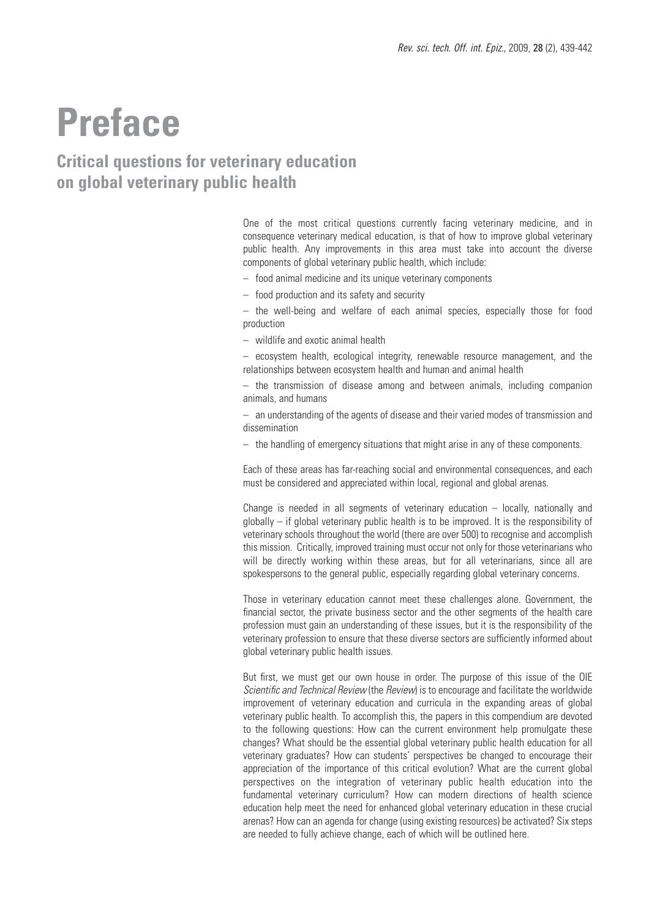# **Preface**

## **Critical questions for veterinary education on global veterinary public health**

One of the most critical questions currently facing veterinary medicine, and in consequence veterinary medical education, is that of how to improve global veterinary public health. Any improvements in this area must take into account the diverse components of global veterinary public health, which include:

- food animal medicine and its unique veterinary components
- food production and its safety and security

– the well-being and welfare of each animal species, especially those for food production

– wildlife and exotic animal health

– ecosystem health, ecological integrity, renewable resource management, and the relationships between ecosystem health and human and animal health

– the transmission of disease among and between animals, including companion animals, and humans

– an understanding of the agents of disease and their varied modes of transmission and dissemination

– the handling of emergency situations that might arise in any of these components.

Each of these areas has far-reaching social and environmental consequences, and each must be considered and appreciated within local, regional and global arenas.

Change is needed in all segments of veterinary education – locally, nationally and globally – if global veterinary public health is to be improved. It is the responsibility of veterinary schools throughout the world (there are over 500) to recognise and accomplish this mission. Critically, improved training must occur not only for those veterinarians who will be directly working within these areas, but for all veterinarians, since all are spokespersons to the general public, especially regarding global veterinary concerns.

Those in veterinary education cannot meet these challenges alone. Government, the financial sector, the private business sector and the other segments of the health care profession must gain an understanding of these issues, but it is the responsibility of the veterinary profession to ensure that these diverse sectors are sufficiently informed about global veterinary public health issues.

But first, we must get our own house in order. The purpose of this issue of the OIE *Scientific and Technical Review* (the *Review*) is to encourage and facilitate the worldwide improvement of veterinary education and curricula in the expanding areas of global veterinary public health. To accomplish this, the papers in this compendium are devoted to the following questions: How can the current environment help promulgate these changes? What should be the essential global veterinary public health education for all veterinary graduates? How can students' perspectives be changed to encourage their appreciation of the importance of this critical evolution? What are the current global perspectives on the integration of veterinary public health education into the fundamental veterinary curriculum? How can modern directions of health science education help meet the need for enhanced global veterinary education in these crucial arenas? How can an agenda for change (using existing resources) be activated? Six steps are needed to fully achieve change, each of which will be outlined here.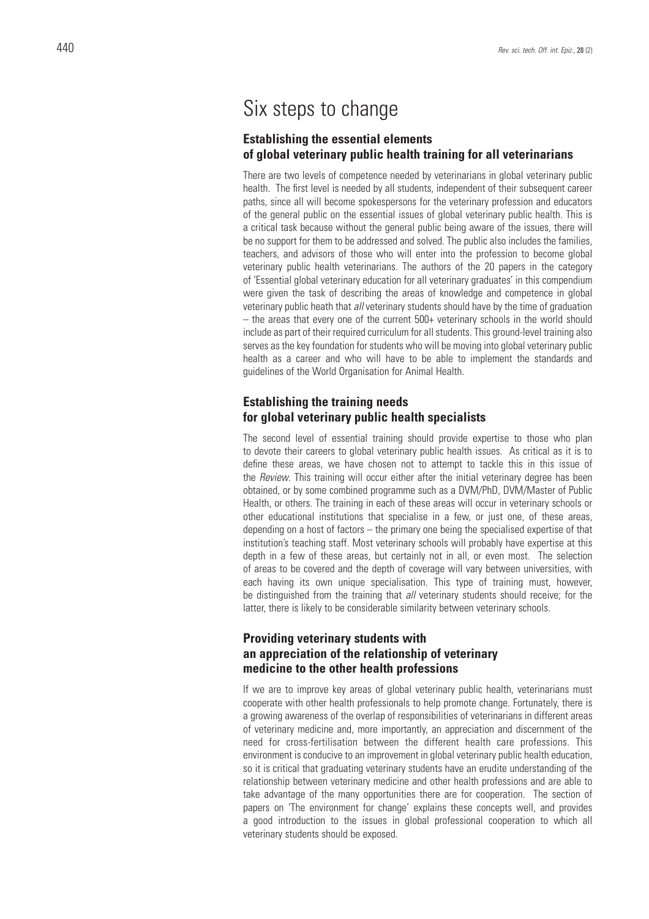# Six steps to change

## **Establishing the essential elements of global veterinary public health training for all veterinarians**

There are two levels of competence needed by veterinarians in global veterinary public health. The first level is needed by all students, independent of their subsequent career paths, since all will become spokespersons for the veterinary profession and educators of the general public on the essential issues of global veterinary public health. This is a critical task because without the general public being aware of the issues, there will be no support for them to be addressed and solved. The public also includes the families, teachers, and advisors of those who will enter into the profession to become global veterinary public health veterinarians. The authors of the 20 papers in the category of 'Essential global veterinary education for all veterinary graduates' in this compendium were given the task of describing the areas of knowledge and competence in global veterinary public heath that *all* veterinary students should have by the time of graduation – the areas that every one of the current 500+ veterinary schools in the world should include as part of their required curriculum for all students. This ground-level training also serves as the key foundation for students who will be moving into global veterinary public health as a career and who will have to be able to implement the standards and guidelines of the World Organisation for Animal Health.

#### **Establishing the training needs for global veterinary public health specialists**

The second level of essential training should provide expertise to those who plan to devote their careers to global veterinary public health issues. As critical as it is to define these areas, we have chosen not to attempt to tackle this in this issue of the *Review*. This training will occur either after the initial veterinary degree has been obtained, or by some combined programme such as a DVM/PhD, DVM/Master of Public Health, or others. The training in each of these areas will occur in veterinary schools or other educational institutions that specialise in a few, or just one, of these areas, depending on a host of factors – the primary one being the specialised expertise of that institution's teaching staff. Most veterinary schools will probably have expertise at this depth in a few of these areas, but certainly not in all, or even most. The selection of areas to be covered and the depth of coverage will vary between universities, with each having its own unique specialisation. This type of training must, however, be distinguished from the training that *all* veterinary students should receive; for the latter, there is likely to be considerable similarity between veterinary schools.

## **Providing veterinary students with an appreciation of the relationship of veterinary medicine to the other health professions**

If we are to improve key areas of global veterinary public health, veterinarians must cooperate with other health professionals to help promote change. Fortunately, there is a growing awareness of the overlap of responsibilities of veterinarians in different areas of veterinary medicine and, more importantly, an appreciation and discernment of the need for cross-fertilisation between the different health care professions. This environment is conducive to an improvement in global veterinary public health education, so it is critical that graduating veterinary students have an erudite understanding of the relationship between veterinary medicine and other health professions and are able to take advantage of the many opportunities there are for cooperation. The section of papers on 'The environment for change' explains these concepts well, and provides a good introduction to the issues in global professional cooperation to which all veterinary students should be exposed.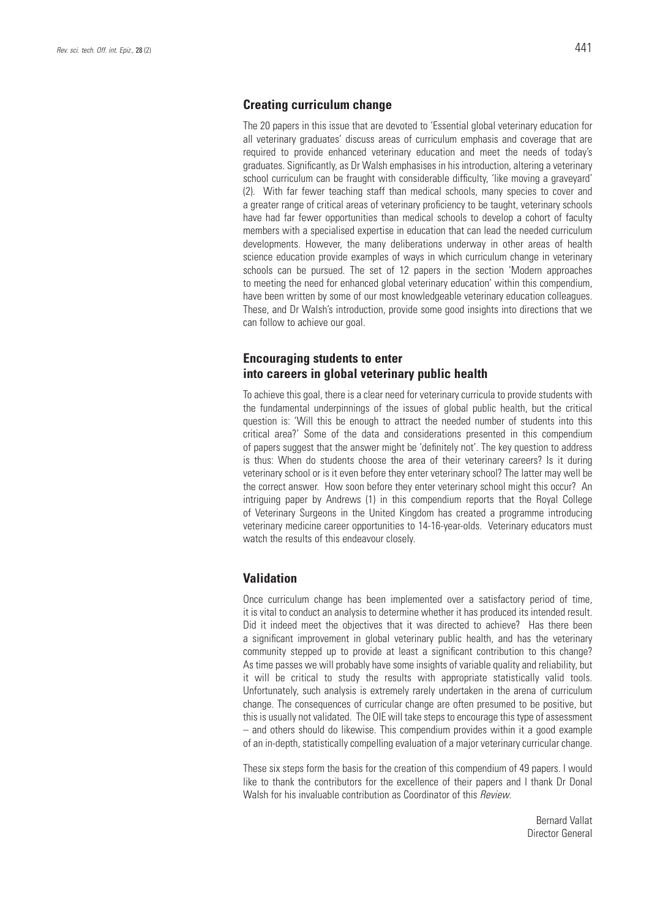#### **Creating curriculum change**

The 20 papers in this issue that are devoted to 'Essential global veterinary education for all veterinary graduates' discuss areas of curriculum emphasis and coverage that are required to provide enhanced veterinary education and meet the needs of today's graduates. Significantly, as Dr Walsh emphasises in his introduction, altering a veterinary school curriculum can be fraught with considerable difficulty, 'like moving a graveyard' (2). With far fewer teaching staff than medical schools, many species to cover and a greater range of critical areas of veterinary proficiency to be taught, veterinary schools have had far fewer opportunities than medical schools to develop a cohort of faculty members with a specialised expertise in education that can lead the needed curriculum developments. However, the many deliberations underway in other areas of health science education provide examples of ways in which curriculum change in veterinary schools can be pursued. The set of 12 papers in the section 'Modern approaches to meeting the need for enhanced global veterinary education' within this compendium, have been written by some of our most knowledgeable veterinary education colleagues. These, and Dr Walsh's introduction, provide some good insights into directions that we can follow to achieve our goal.

## **Encouraging students to enter into careers in global veterinary public health**

To achieve this goal, there is a clear need for veterinary curricula to provide students with the fundamental underpinnings of the issues of global public health, but the critical question is: 'Will this be enough to attract the needed number of students into this critical area?' Some of the data and considerations presented in this compendium of papers suggest that the answer might be 'definitely not'. The key question to address is thus: When do students choose the area of their veterinary careers? Is it during veterinary school or is it even before they enter veterinary school? The latter may well be the correct answer. How soon before they enter veterinary school might this occur? An intriguing paper by Andrews (1) in this compendium reports that the Royal College of Veterinary Surgeons in the United Kingdom has created a programme introducing veterinary medicine career opportunities to 14-16-year-olds. Veterinary educators must watch the results of this endeavour closely.

#### **Validation**

Once curriculum change has been implemented over a satisfactory period of time, it is vital to conduct an analysis to determine whether it has produced its intended result. Did it indeed meet the objectives that it was directed to achieve? Has there been a significant improvement in global veterinary public health, and has the veterinary community stepped up to provide at least a significant contribution to this change? As time passes we will probably have some insights of variable quality and reliability, but it will be critical to study the results with appropriate statistically valid tools. Unfortunately, such analysis is extremely rarely undertaken in the arena of curriculum change. The consequences of curricular change are often presumed to be positive, but this is usually not validated. The OIE will take steps to encourage this type of assessment – and others should do likewise. This compendium provides within it a good example of an in-depth, statistically compelling evaluation of a major veterinary curricular change.

These six steps form the basis for the creation of this compendium of 49 papers. I would like to thank the contributors for the excellence of their papers and I thank Dr Donal Walsh for his invaluable contribution as Coordinator of this *Review*.

> Bernard Vallat Director General